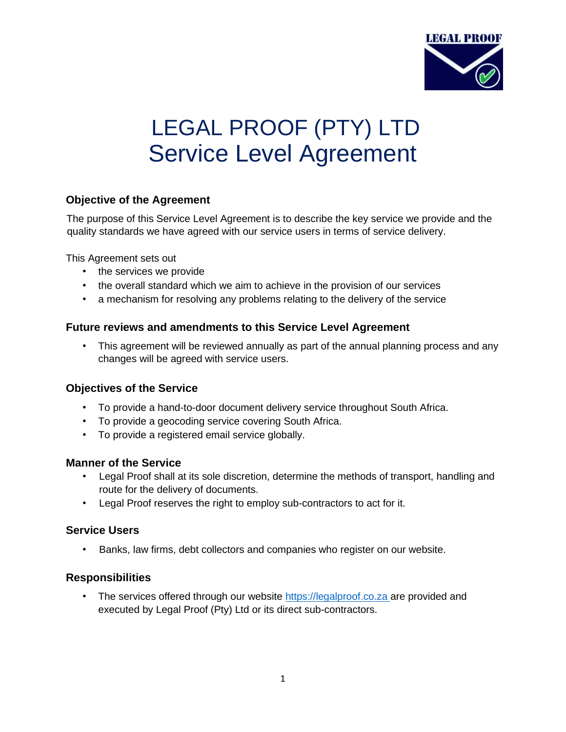

# LEGAL PROOF (PTY) LTD Service Level Agreement

## **Objective of the Agreement**

The purpose of this Service Level Agreement is to describe the key service we provide and the quality standards we have agreed with our service users in terms of service delivery.

This Agreement sets out

- the services we provide
- the overall standard which we aim to achieve in the provision of our services
- a mechanism for resolving any problems relating to the delivery of the service

### **Future reviews and amendments to this Service Level Agreement**

• This agreement will be reviewed annually as part of the annual planning process and any changes will be agreed with service users.

### **Objectives of the Service**

- To provide a hand-to-door document delivery service throughout South Africa.
- To provide a geocoding service covering South Africa.
- To provide a registered email service globally.

### **Manner of the Service**

- Legal Proof shall at its sole discretion, determine the methods of transport, handling and route for the delivery of documents.
- Legal Proof reserves the right to employ sub-contractors to act for it.

### **Service Users**

• Banks, law firms, debt collectors and companies who register on our website.

### **Responsibilities**

• The services offered through our website [https://legalproof.co.za](https://legalproof.co.za/) are provided and executed by Legal Proof (Pty) Ltd or its direct sub-contractors.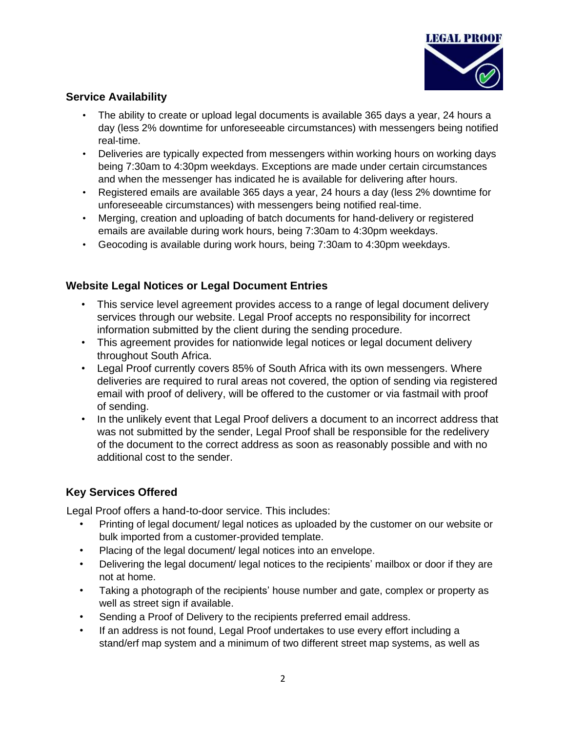

# **Service Availability**

- The ability to create or upload legal documents is available 365 days a year, 24 hours a day (less 2% downtime for unforeseeable circumstances) with messengers being notified real-time.
- Deliveries are typically expected from messengers within working hours on working days being 7:30am to 4:30pm weekdays. Exceptions are made under certain circumstances and when the messenger has indicated he is available for delivering after hours.
- Registered emails are available 365 days a year, 24 hours a day (less 2% downtime for unforeseeable circumstances) with messengers being notified real-time.
- Merging, creation and uploading of batch documents for hand-delivery or registered emails are available during work hours, being 7:30am to 4:30pm weekdays.
- Geocoding is available during work hours, being 7:30am to 4:30pm weekdays.

## **Website Legal Notices or Legal Document Entries**

- This service level agreement provides access to a range of legal document delivery services through our website. Legal Proof accepts no responsibility for incorrect information submitted by the client during the sending procedure.
- This agreement provides for nationwide legal notices or legal document delivery throughout South Africa.
- Legal Proof currently covers 85% of South Africa with its own messengers. Where deliveries are required to rural areas not covered, the option of sending via registered email with proof of delivery, will be offered to the customer or via fastmail with proof of sending.
- In the unlikely event that Legal Proof delivers a document to an incorrect address that was not submitted by the sender, Legal Proof shall be responsible for the redelivery of the document to the correct address as soon as reasonably possible and with no additional cost to the sender.

## **Key Services Offered**

Legal Proof offers a hand-to-door service. This includes:

- Printing of legal document/ legal notices as uploaded by the customer on our website or bulk imported from a customer-provided template.
- Placing of the legal document/ legal notices into an envelope.
- Delivering the legal document/ legal notices to the recipients' mailbox or door if they are not at home.
- Taking a photograph of the recipients' house number and gate, complex or property as well as street sign if available.
- Sending a Proof of Delivery to the recipients preferred email address.
- If an address is not found, Legal Proof undertakes to use every effort including a stand/erf map system and a minimum of two different street map systems, as well as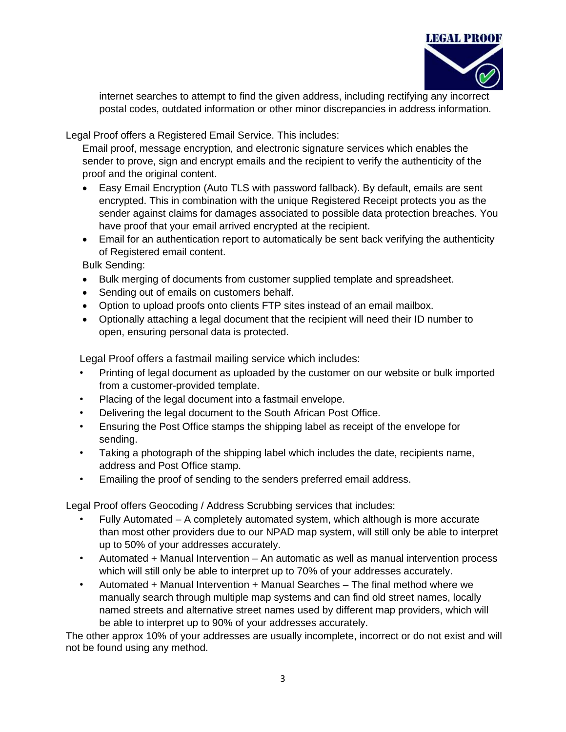

internet searches to attempt to find the given address, including rectifying any incorrect postal codes, outdated information or other minor discrepancies in address information.

Legal Proof offers a Registered Email Service. This includes:

Email proof, message encryption, and electronic signature services which enables the sender to prove, sign and encrypt emails and the recipient to verify the authenticity of the proof and the original content.

- Easy Email Encryption (Auto TLS with password fallback). By default, emails are sent encrypted. This in combination with the unique Registered Receipt protects you as the sender against claims for damages associated to possible data protection breaches. You have proof that your email arrived encrypted at the recipient.
- Email for an authentication report to automatically be sent back verifying the authenticity of Registered email content.

Bulk Sending:

- Bulk merging of documents from customer supplied template and spreadsheet.
- Sending out of emails on customers behalf.
- Option to upload proofs onto clients FTP sites instead of an email mailbox.
- Optionally attaching a legal document that the recipient will need their ID number to open, ensuring personal data is protected.

Legal Proof offers a fastmail mailing service which includes:

- Printing of legal document as uploaded by the customer on our website or bulk imported from a customer-provided template.
- Placing of the legal document into a fastmail envelope.
- Delivering the legal document to the South African Post Office.
- Ensuring the Post Office stamps the shipping label as receipt of the envelope for sending.
- Taking a photograph of the shipping label which includes the date, recipients name, address and Post Office stamp.
- Emailing the proof of sending to the senders preferred email address.

Legal Proof offers Geocoding / Address Scrubbing services that includes:

- Fully Automated A completely automated system, which although is more accurate than most other providers due to our NPAD map system, will still only be able to interpret up to 50% of your addresses accurately.
- Automated + Manual Intervention An automatic as well as manual intervention process which will still only be able to interpret up to 70% of your addresses accurately.
- Automated + Manual Intervention + Manual Searches The final method where we manually search through multiple map systems and can find old street names, locally named streets and alternative street names used by different map providers, which will be able to interpret up to 90% of your addresses accurately.

The other approx 10% of your addresses are usually incomplete, incorrect or do not exist and will not be found using any method.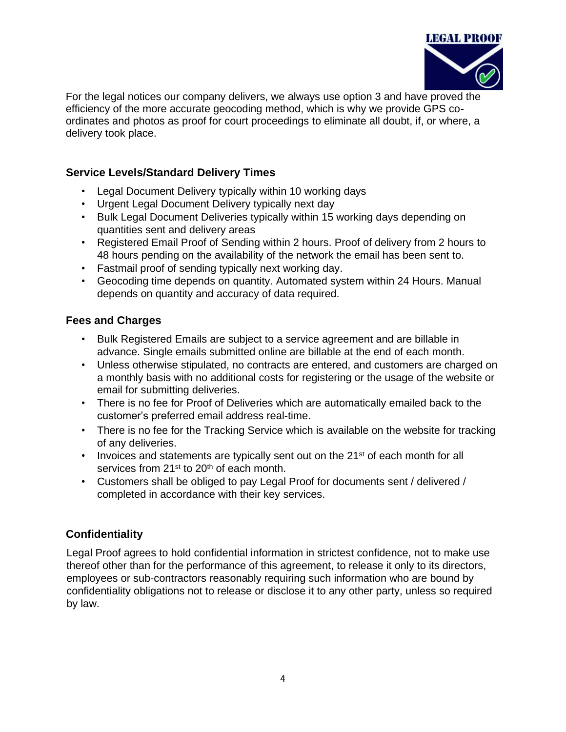

For the legal notices our company delivers, we always use option 3 and have proved the efficiency of the more accurate geocoding method, which is why we provide GPS coordinates and photos as proof for court proceedings to eliminate all doubt, if, or where, a delivery took place.

## **Service Levels/Standard Delivery Times**

- Legal Document Delivery typically within 10 working days
- Urgent Legal Document Delivery typically next day
- Bulk Legal Document Deliveries typically within 15 working days depending on quantities sent and delivery areas
- Registered Email Proof of Sending within 2 hours. Proof of delivery from 2 hours to 48 hours pending on the availability of the network the email has been sent to.
- Fastmail proof of sending typically next working day.
- Geocoding time depends on quantity. Automated system within 24 Hours. Manual depends on quantity and accuracy of data required.

## **Fees and Charges**

- Bulk Registered Emails are subject to a service agreement and are billable in advance. Single emails submitted online are billable at the end of each month.
- Unless otherwise stipulated, no contracts are entered, and customers are charged on a monthly basis with no additional costs for registering or the usage of the website or email for submitting deliveries.
- There is no fee for Proof of Deliveries which are automatically emailed back to the customer's preferred email address real-time.
- There is no fee for the Tracking Service which is available on the website for tracking of any deliveries.
- Invoices and statements are typically sent out on the  $21<sup>st</sup>$  of each month for all services from 21<sup>st</sup> to 20<sup>th</sup> of each month.
- Customers shall be obliged to pay Legal Proof for documents sent / delivered / completed in accordance with their key services.

# **Confidentiality**

Legal Proof agrees to hold confidential information in strictest confidence, not to make use thereof other than for the performance of this agreement, to release it only to its directors, employees or sub-contractors reasonably requiring such information who are bound by confidentiality obligations not to release or disclose it to any other party, unless so required by law.